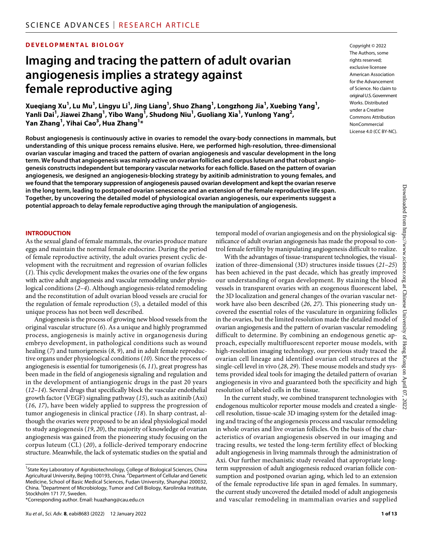#### **DEVELOPMENTAL BIOLOGY**

# **Imaging and tracing the pattern of adult ovarian angiogenesis implies a strategy against female reproductive aging**

**Xueqiang Xu1 , Lu Mu1 , Lingyu Li1 , Jing Liang1 , Shuo Zhang1 , Longzhong Jia1 , Xuebing Yang1 , Yanli Dai<sup>1</sup> , Jiawei Zhang1 , Yibo Wang1 , Shudong Niu1 , Guoliang Xia1 , Yunlong Yang2 , Yan Zhang1 , Yihai Cao3 , Hua Zhang1 \***

**Robust angiogenesis is continuously active in ovaries to remodel the ovary-body connections in mammals, but understanding of this unique process remains elusive. Here, we performed high-resolution, three-dimensional ovarian vascular imaging and traced the pattern of ovarian angiogenesis and vascular development in the long term. We found that angiogenesis was mainly active on ovarian follicles and corpus luteum and that robust angiogenesis constructs independent but temporary vascular networks for each follicle. Based on the pattern of ovarian angiogenesis, we designed an angiogenesis-blocking strategy by axitinib administration to young females, and we found that the temporary suppression of angiogenesis paused ovarian development and kept the ovarian reserve in the long term, leading to postponed ovarian senescence and an extension of the female reproductive life span. Together, by uncovering the detailed model of physiological ovarian angiogenesis, our experiments suggest a potential approach to delay female reproductive aging through the manipulation of angiogenesis.**

#### **INTRODUCTION**

As the sexual gland of female mammals, the ovaries produce mature eggs and maintain the normal female endocrine. During the period of female reproductive activity, the adult ovaries present cyclic development with the recruitment and regression of ovarian follicles (*1*). This cyclic development makes the ovaries one of the few organs with active adult angiogenesis and vascular remodeling under physiological conditions (*2*–*4*). Although angiogenesis-related remodeling and the reconstitution of adult ovarian blood vessels are crucial for the regulation of female reproduction (*5*), a detailed model of this unique process has not been well described.

Angiogenesis is the process of growing new blood vessels from the original vascular structure (*6*). As a unique and highly programmed process, angiogenesis is mainly active in organogenesis during embryo development, in pathological conditions such as wound healing (*7*) and tumorigenesis (*8*, *9*), and in adult female reproductive organs under physiological conditions (*10*). Since the process of angiogenesis is essential for tumorigenesis (*6*, *11*), great progress has been made in the field of angiogenesis signaling and regulation and in the development of antiangiogenic drugs in the past 20 years (*12*–*14*). Several drugs that specifically block the vascular endothelial growth factor (VEGF) signaling pathway (*15*), such as axitinib (Axi) (*16*, *17*), have been widely applied to suppress the progression of tumor angiogenesis in clinical practice (*18*). In sharp contrast, although the ovaries were proposed to be an ideal physiological model to study angiogenesis (*19*, *20*), the majority of knowledge of ovarian angiogenesis was gained from the pioneering study focusing on the corpus luteum (CL) (*20*), a follicle-derived temporary endocrine structure. Meanwhile, the lack of systematic studies on the spatial and

Copyright © 2022 The Authors, some rights reserved: exclusive licensee American Association for the Advancement of Science. No claim to original U.S.Government Works. Distributed under a Creative Commons Attribution **NonCommercial** License 4.0 (CC BY-NC).

temporal model of ovarian angiogenesis and on the physiological significance of adult ovarian angiogenesis has made the proposal to control female fertility by manipulating angiogenesis difficult to realize.

With the advantages of tissue-transparent technologies, the visualization of three-dimensional (3D) structures inside tissues (*21*–*25*) has been achieved in the past decade, which has greatly improved our understanding of organ development. By staining the blood vessels in transparent ovaries with an exogenous fluorescent label, the 3D localization and general changes of the ovarian vascular network have also been described (*26*, *27*). This pioneering study uncovered the essential roles of the vasculature in organizing follicles in the ovaries, but the limited resolution made the detailed model of ovarian angiogenesis and the pattern of ovarian vascular remodeling difficult to determine. By combining an endogenous genetic approach, especially multifluorescent reporter mouse models, with high-resolution imaging technology, our previous study traced the ovarian cell lineage and identified ovarian cell structures at the single-cell level in vivo (*28*, *29*). These mouse models and study systems provided ideal tools for imaging the detailed pattern of ovarian angiogenesis in vivo and guaranteed both the specificity and high resolution of labeled cells in the tissue.

In the current study, we combined transparent technologies with endogenous multicolor reporter mouse models and created a singlecell resolution, tissue-scale 3D imaging system for the detailed imaging and tracing of the angiogenesis process and vascular remodeling in whole ovaries and live ovarian follicles. On the basis of the characteristics of ovarian angiogenesis observed in our imaging and tracing results, we tested the long-term fertility effect of blocking adult angiogenesis in living mammals through the administration of Axi. Our further mechanistic study revealed that appropriate longterm suppression of adult angiogenesis reduced ovarian follicle consumption and postponed ovarian aging, which led to an extension of the female reproductive life span in aged females. In summary, the current study uncovered the detailed model of adult angiogenesis and vascular remodeling in mammalian ovaries and supplied

<sup>&</sup>lt;sup>1</sup>State Key Laboratory of Agrobiotechnology, College of Biological Sciences, China Agricultural University, Beijing 100193, China. <sup>2</sup>Department of Cellular and Genetic Medicine, School of Basic Medical Sciences, Fudan University, Shanghai 200032, China. <sup>3</sup>Department of Microbiology, Tumor and Cell Biology, Karolinska Institute, Stockholm 171 77, Sweden.

<sup>\*</sup>Corresponding author. Email: [huazhang@cau.edu.cn](mailto:huazhang@cau.edu.cn)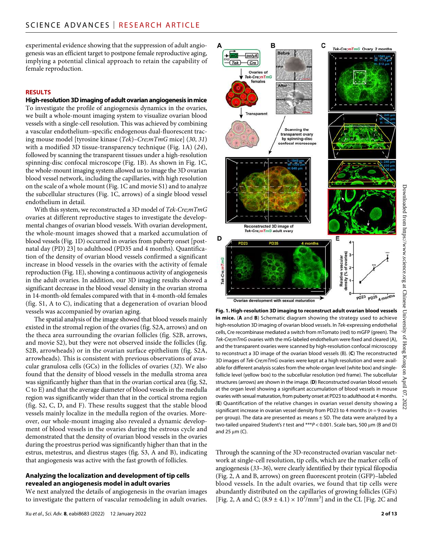experimental evidence showing that the suppression of adult angiogenesis was an efficient target to postpone female reproductive aging, implying a potential clinical approach to retain the capability of female reproduction.

#### **RESULTS**

## **High-resolution 3D imaging ofadult ovarian angiogenesis inmice**

To investigate the profile of angiogenesis dynamics in the ovaries, we built a whole-mount imaging system to visualize ovarian blood vessels with a single-cell resolution. This was achieved by combining a vascular endothelium–specific endogenous dual-fluorescent tracing mouse model [tyrosine kinase (*Tek*)*–Cre;mTmG* mice] (*30*, *31*) with a modified 3D tissue-transparency technique (Fig. 1A) (*24*), followed by scanning the transparent tissues under a high-resolution spinning-disc confocal microscope (Fig. 1B). As shown in Fig. 1C, the whole-mount imaging system allowed us to image the 3D ovarian blood vessel network, including the capillaries, with high resolution on the scale of a whole mount (Fig. 1C and movie S1) and to analyze the subcellular structures (Fig. 1C, arrows) of a single blood vessel endothelium in detail.

With this system, we reconstructed a 3D model of *Tek-Cre;mTmG* ovaries at different reproductive stages to investigate the developmental changes of ovarian blood vessels. With ovarian development, the whole-mount images showed that a marked accumulation of blood vessels (Fig. 1D) occurred in ovaries from puberty onset [postnatal day (PD) 23] to adulthood (PD35 and 4 months). Quantification of the density of ovarian blood vessels confirmed a significant increase in blood vessels in the ovaries with the activity of female reproduction (Fig. 1E), showing a continuous activity of angiogenesis in the adult ovaries. In addition, our 3D imaging results showed a significant decrease in the blood vessel density in the ovarian stroma in 14-month-old females compared with that in 4-month-old females (fig. S1, A to C), indicating that a degeneration of ovarian blood vessels was accompanied by ovarian aging.

The spatial analysis of the image showed that blood vessels mainly existed in the stromal region of the ovaries (fig. S2A, arrows) and on the theca area surrounding the ovarian follicles (fig. S2B, arrows, and movie S2), but they were not observed inside the follicles (fig. S2B, arrowheads) or in the ovarian surface epithelium (fig. S2A, arrowheads). This is consistent with previous observations of avascular granulosa cells (GCs) in the follicles of ovaries (*32*). We also found that the density of blood vessels in the medulla stroma area was significantly higher than that in the ovarian cortical area (fig. S2, C to E) and that the average diameter of blood vessels in the medulla region was significantly wider than that in the cortical stroma region (fig. S2, C, D, and F). These results suggest that the stable blood vessels mainly localize in the medulla region of the ovaries. Moreover, our whole-mount imaging also revealed a dynamic development of blood vessels in the ovaries during the estrous cycle and demonstrated that the density of ovarian blood vessels in the ovaries during the proestrus period was significantly higher than that in the estrus, metestrus, and diestrus stages (fig. S3, A and B), indicating that angiogenesis was active with the fast growth of follicles.

#### **Analyzing the localization and development oftip cells revealed an angiogenesis model in adult ovaries**

We next analyzed the details of angiogenesis in the ovarian images to investigate the pattern of vascular remodeling in adult ovaries.



C

B

3D images of *Tek-Cre;mTmG* ovaries were kept at a high resolution and were available for different analysis scales from the whole-organ level (white box) and singlefollicle level (yellow box) to the subcellular resolution (red frame). The subcellular structures (arrows) are shown in the image. (**D**) Reconstructed ovarian blood vessels at the organ level showing a significant accumulation of blood vessels in mouse ovaries with sexual maturation, from puberty onset at PD23 to adulthood at 4 months. (**E**) Quantification of the relative changes in ovarian vessel density showing a significant increase in ovarian vessel density from PD23 to 4 months (*n* = 9 ovaries per group). The data are presented as means  $\pm$  SD. The data were analyzed by a two-tailed unpaired Student's *t* test and  $***P$  < 0.001. Scale bars, 500  $\mu$ m (B and D) and  $25 \mu m$  (C).

Through the scanning of the 3D-reconstructed ovarian vascular network at single-cell resolution, tip cells, which are the marker cells of angiogenesis (*33*–*36*), were clearly identified by their typical filopodia (Fig. 2, A and B, arrows) on green fluorescent protein (GFP)–labeled blood vessels. In the adult ovaries, we found that tip cells were abundantly distributed on the capillaries of growing follicles (GFs) [Fig. 2, A and C;  $(8.9 \pm 4.1) \times 10^3/\text{mm}^3$ ] and in the CL [Fig. 2C and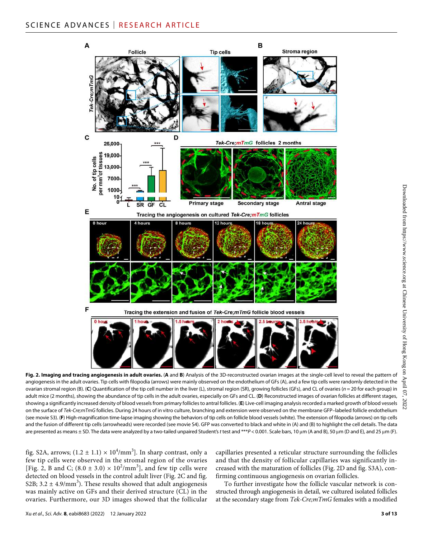

**Fig. 2. Imaging and tracing angiogenesis in adult ovaries.** (**A** and **B**) Analysis of the 3D-reconstructed ovarian images at the single-cell level to reveal the pattern of angiogenesis in the adult ovaries. Tip cells with filopodia (arrows) were mainly observed on the endothelium of GFs (A), and a few tip cells were randomly detected in the ovarian stromal region (B). (**C**) Quantification of the tip cell number in the liver (L), stromal region (SR), growing follicles (GFs), and CL of ovaries (*n* = 20 for each group) in adult mice (2 months), showing the abundance of tip cells in the adult ovaries, especially on GFs and CL. (**D**) Reconstructed images of ovarian follicles at different stages, showing a significantly increased density of blood vessels from primary follicles to antral follicles. (**E**) Live-cell imaging analysis recorded a marked growth of blood vessels on the surface of *Tek-Cre;mTmG* follicles. During 24 hours of in vitro culture, branching and extension were observed on the membrane GFP–labeled follicle endothelium (see movie S3). (**F**) High-magnification time-lapse imaging showing the behaviors of tip cells on follicle blood vessels (white). The extension of filopodia (arrows) on tip cells and the fusion of different tip cells (arrowheads) were recorded (see movie S4). GFP was converted to black and white in (A) and (B) to highlight the cell details. The data are presented as means ± SD. The data were analyzed by a two-tailed unpaired Student's t test and  $***P$  < 0.001. Scale bars, 10 um (A and B), 50 um (D and E), and 25 um (F).

fig. S2A, arrows;  $(1.2 \pm 1.1) \times 10^4/\text{mm}^3$ ]. In sharp contrast, only a few tip cells were observed in the stromal region of the ovaries [Fig. 2, B and C;  $(8.0 \pm 3.0) \times 10^2/\text{mm}^3$ ], and few tip cells were detected on blood vessels in the control adult liver (Fig. 2C and fig. S2B;  $3.2 \pm 4.9/\text{mm}^3$ ). These results showed that adult angiogenesis was mainly active on GFs and their derived structure (CL) in the ovaries. Furthermore, our 3D images showed that the follicular

capillaries presented a reticular structure surrounding the follicles and that the density of follicular capillaries was significantly increased with the maturation of follicles (Fig. 2D and fig. S3A), confirming continuous angiogenesis on ovarian follicles.

To further investigate how the follicle vascular network is constructed through angiogenesis in detail, we cultured isolated follicles at the secondary stage from *Tek-Cre;mTmG* females with a modified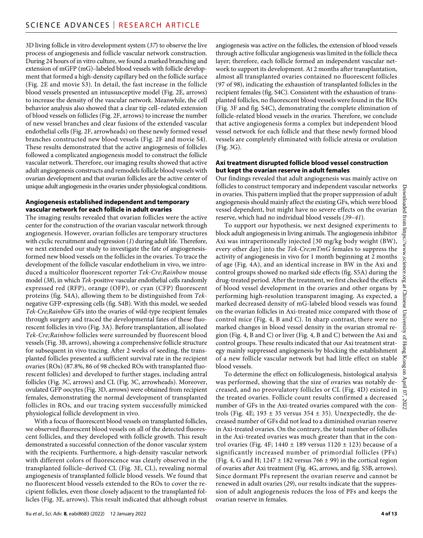3D living follicle in vitro development system (*37*) to observe the live process of angiogenesis and follicle vascular network construction. During 24 hours of in vitro culture, we found a marked branching and extension of mGFP (mG)–labeled blood vessels with follicle development that formed a high-density capillary bed on the follicle surface (Fig. 2E and movie S3). In detail, the fast increase in the follicle blood vessels presented an intussusceptive model (Fig. 2E, arrows) to increase the density of the vascular network. Meanwhile, the cell behavior analysis also showed that a clear tip cell–related extension of blood vessels on follicles (Fig. 2F, arrows) to increase the number of new vessel branches and clear fusions of the extended vascular endothelial cells (Fig. 2F, arrowheads) on these newly formed vessel branches constructed new blood vessels (Fig. 2F and movie S4). These results demonstrated that the active angiogenesis of follicles followed a complicated angiogenesis model to construct the follicle vascular network. Therefore, our imaging results showed that active adult angiogenesis constructs and remodels follicle blood vessels with ovarian development and that ovarian follicles are the active center of unique adult angiogenesis in the ovaries under physiological conditions.

#### **Angiogenesis established independent and temporary vascular network for each follicle in adult ovaries**

The imaging results revealed that ovarian follicles were the active center for the construction of the ovarian vascular network through angiogenesis. However, ovarian follicles are temporary structures with cyclic recruitment and regression (*1*) during adult life. Therefore, we next extended our study to investigate the fate of angiogenesisformed new blood vessels on the follicles in the ovaries. To trace the development of the follicle vascular endothelium in vivo, we introduced a multicolor fluorescent reporter *Tek-Cre;Rainbow* mouse model (*38*), in which *Tek*-positive vascular endothelial cells randomly expressed red (RFP), orange (OFP), or cyan (CFP) fluorescent proteins (fig. S4A), allowing them to be distinguished from *Tek*negative GFP-expressing cells (fig. S4B). With this model, we seeded *Tek-Cre;Rainbow* GFs into the ovaries of wild-type recipient females through surgery and traced the developmental fates of these fluorescent follicles in vivo (Fig. 3A). Before transplantation, all isolated *Tek-Cre;Rainbow* follicles were surrounded by fluorescent blood vessels (Fig. 3B, arrows), showing a comprehensive follicle structure for subsequent in vivo tracing. After 2 weeks of seeding, the transplanted follicles presented a sufficient survival rate in the recipient ovaries (ROs) (87.8%, 86 of 98 checked ROs with transplanted fluorescent follicles) and developed to further stages, including antral follicles (Fig. 3C, arrows) and CL (Fig. 3C, arrowheads). Moreover, ovulated GFP oocytes (Fig. 3D, arrows) were obtained from recipient females, demonstrating the normal development of transplanted follicles in ROs, and our tracing system successfully mimicked physiological follicle development in vivo.

With a focus of fluorescent blood vessels on transplanted follicles, we observed fluorescent blood vessels on all of the detected fluorescent follicles, and they developed with follicle growth. This result demonstrated a successful connection of the donor vascular system with the recipients. Furthermore, a high-density vascular network with different colors of fluorescence was clearly observed in the transplanted follicle–derived CL (Fig. 3E, CL), revealing normal angiogenesis of transplanted follicle blood vessels. We found that no fluorescent blood vessels extended to the ROs to cover the recipient follicles, even those closely adjacent to the transplanted follicles (Fig. 3E, arrows). This result indicated that although robust

angiogenesis was active on the follicles, the extension of blood vessels through active follicular angiogenesis was limited in the follicle theca layer; therefore, each follicle formed an independent vascular network to support its development. At 2 months after transplantation, almost all transplanted ovaries contained no fluorescent follicles (97 of 98), indicating the exhaustion of transplanted follicles in the recipient females (fig. S4C). Consistent with the exhaustion of transplanted follicles, no fluorescent blood vessels were found in the ROs (Fig. 3F and fig. S4C), demonstrating the complete elimination of follicle-related blood vessels in the ovaries. Therefore, we conclude that active angiogenesis forms a complex but independent blood vessel network for each follicle and that these newly formed blood vessels are completely eliminated with follicle atresia or ovulation (Fig. 3G).

#### **Axi treatment disrupted follicle blood vessel construction but kept the ovarian reserve in adult females**

Our findings revealed that adult angiogenesis was mainly active on follicles to construct temporary and independent vascular networks in ovaries. This pattern implied that the proper suppression of adult angiogenesis should mainly affect the existing GFs, which were blood vessel dependent, but might have no severe effects on the ovarian reserve, which had no individual blood vessels (*39*–*41*).

To support our hypothesis, we next designed experiments to block adult angiogenesis in living animals. The angiogenesis inhibitor Axi was intraperitoneally injected [30 mg/kg body weight (BW), every other day] into the *Tek-Cre;mTmG* females to suppress the activity of angiogenesis in vivo for 1 month beginning at 2 months of age (Fig. 4A), and an identical increase in BW in the Axi and control groups showed no marked side effects (fig. S5A) during the drug-treated period. After the treatment, we first checked the effects of blood vessel development in the ovaries and other organs by performing high-resolution transparent imaging. As expected, a marked decreased density of mG-labeled blood vessels was found on the ovarian follicles in Axi-treated mice compared with those of control mice (Fig. 4, B and C). In sharp contrast, there were no marked changes in blood vessel density in the ovarian stromal region (Fig. 4, B and C) or liver (Fig. 4, B and C) between the Axi and control groups. These results indicated that our Axi treatment strategy mainly suppressed angiogenesis by blocking the establishment of a new follicle vascular network but had little effect on stable blood vessels.

To determine the effect on folliculogenesis, histological analysis was performed, showing that the size of ovaries was notably decreased, and no preovulatory follicles or CL (Fig. 4D) existed in the treated ovaries. Follicle count results confirmed a decreased number of GFs in the Axi-treated ovaries compared with the controls (Fig. 4E; 193  $\pm$  35 versus 354  $\pm$  35). Unexpectedly, the decreased number of GFs did not lead to a diminished ovarian reserve in Axi-treated ovaries. On the contrary, the total number of follicles in the Axi-treated ovaries was much greater than that in the control ovaries (Fig. 4F;  $1440 \pm 189$  versus  $1120 \pm 123$ ) because of a significantly increased number of primordial follicles (PFs) (Fig. 4, G and H;  $1247 \pm 182$  versus 766  $\pm$  99) in the cortical region of ovaries after Axi treatment (Fig. 4G, arrows, and fig. S5B, arrows). Since dormant PFs represent the ovarian reserve and cannot be renewed in adult ovaries (*29*), our results indicate that the suppression of adult angiogenesis reduces the loss of PFs and keeps the ovarian reserve in females.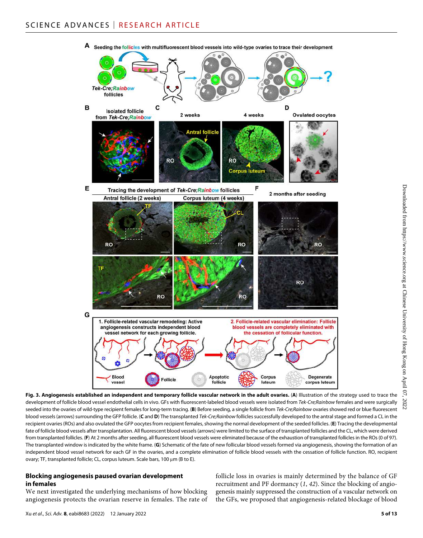

**Fig. 3. Angiogenesis established an independent and temporary follicle vascular network in the adult ovaries.** (**A**) Illustration of the strategy used to trace the development of follicle blood vessel endothelial cells in vivo. GFs with fluorescent-labeled blood vessels were isolated from *Tek-Cre;Rainbow* females and were surgically seeded into the ovaries of wild-type recipient females for long-term tracing. (**B**) Before seeding, a single follicle from *Tek-Cre;Rainbow* ovaries showed red or blue fluorescent blood vessels (arrows) surrounding the GFP follicle. (**C** and **D**) The transplanted *Tek-Cre;Rainbow* follicles successfully developed to the antral stage and formed a CL in the recipient ovaries (ROs) and also ovulated the GFP oocytes from recipient females, showing the normal development of the seeded follicles. (**E**) Tracing the developmental fate of follicle blood vessels after transplantation. All fluorescent blood vessels (arrows) were limited to the surface of transplanted follicles and the CL, which were derived from transplanted follicles. (**F**) At 2 months after seeding, all fluorescent blood vessels were eliminated because of the exhaustion of transplanted follicles in the ROs (0 of 97). The transplanted window is indicated by the white frame. (**G**) Schematic of the fate of new follicular blood vessels formed via angiogenesis, showing the formation of an independent blood vessel network for each GF in the ovaries, and a complete elimination of follicle blood vessels with the cessation of follicle function. RO, recipient ovary; TF, transplanted follicle; CL, corpus luteum. Scale bars, 100 µm (B to E).

#### **Blocking angiogenesis paused ovarian development in females**

We next investigated the underlying mechanisms of how blocking angiogenesis protects the ovarian reserve in females. The rate of

follicle loss in ovaries is mainly determined by the balance of GF recruitment and PF dormancy (*1*, *42*). Since the blocking of angiogenesis mainly suppressed the construction of a vascular network on the GFs, we proposed that angiogenesis-related blockage of blood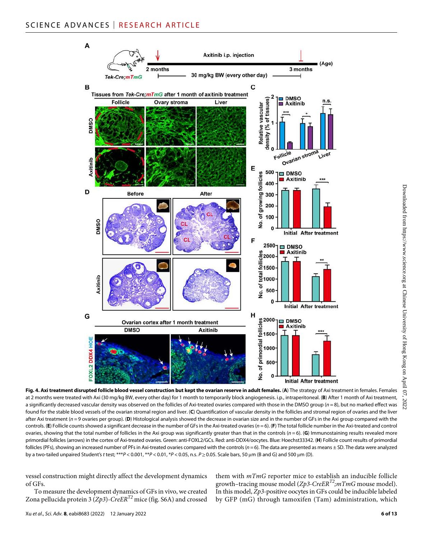

**Fig. 4. Axi treatment disrupted follicle blood vessel construction but kept the ovarian reserve in adult females.** (**A**) The strategy of Axi treatment in females. Females at 2 months were treated with Axi (30 mg/kg BW, every other day) for 1 month to temporarily block angiogenesis. i.p., intraperitoneal. (**B**) After 1 month of Axi treatment, a significantly decreased vascular density was observed on the follicles of Axi-treated ovaries compared with those in the DMSO group (*n* = 8), but no marked effect was found for the stable blood vessels of the ovarian stromal region and liver. (**C**) Quantification of vascular density in the follicles and stromal region of ovaries and the liver after Axi treatment (*n* = 9 ovaries per group). (D) Histological analysis showed the decrease in ovarian size and in the number of GFs in the Axi group compared with the controls. (**E**) Follicle counts showed a significant decrease in the number of GFs in the Axi-treated ovaries (*n* = 6). (**F**) The total follicle number in the Axi-treated and control ovaries, showing that the total number of follicles in the Axi group was significantly greater than that in the controls (*n* = 6). (**G**) Immunostaining results revealed more primordial follicles (arrows) in the cortex of Axi-treated ovaries. Green: anti-FOXL2/GCs. Red: anti-DDX4/oocytes. Blue: Hoechst33342. (**H**) Follicle count results of primordial follicles (PFs), showing an increased number of PFs in Axi-treated ovaries compared with the controls (*n*=6). The data are presented as means ± SD. The data were analyzed by a two-tailed unpaired Student's *t* test; \*\*\**P* < 0.001, \**P* < 0.01, \**P* < 0.05, n.s. *P* ≥ 0.05. Scale bars, 50 μm (B and G) and 500 μm (D).

vessel construction might directly affect the development dynamics of GFs.

To measure the development dynamics of GFs in vivo, we created Zona pellucida protein 3 (*Zp3*)-*CreERT2* mice (fig. S6A) and crossed

them with *mTmG* reporter mice to establish an inducible follicle growth–tracing mouse model (*Zp3-CreERT2;mTmG* mouse model). In this model, *Zp3*-positive oocytes in GFs could be inducible labeled by GFP (mG) through tamoxifen (Tam) administration, which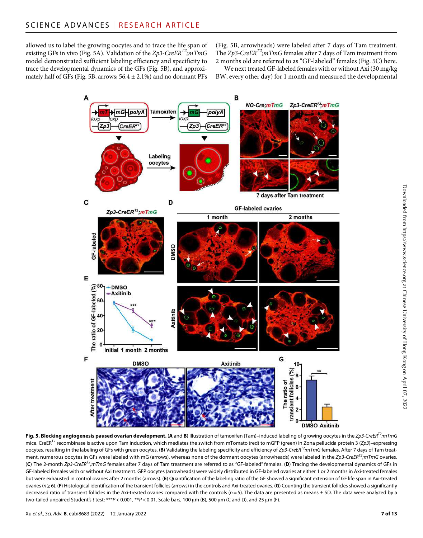allowed us to label the growing oocytes and to trace the life span of existing GFs in vivo (Fig. 5A). Validation of the *Zp3-CreERT2;mTmG* model demonstrated sufficient labeling efficiency and specificity to trace the developmental dynamics of the GFs (Fig. 5B), and approximately half of GFs (Fig. 5B, arrows;  $56.4 \pm 2.1\%$ ) and no dormant PFs

(Fig. 5B, arrowheads) were labeled after 7 days of Tam treatment. The *Zp3-CreERT2;mTmG* females after 7 days of Tam treatment from 2 months old are referred to as "GF-labeled" females (Fig. 5C) here.

We next treated GF-labeled females with or without Axi (30 mg/kg BW, every other day) for 1 month and measured the developmental



**Fig. 5. Blocking angiogenesis paused ovarian development.** (**A** and **B**) Illustration of tamoxifen (Tam)–induced labeling of growing oocytes in the *Zp3-CreERT2;mTmG* mice. CreERT2 recombinase is active upon Tam induction, which mediates the switch from mTomato (red) to mGFP (green) in Zona pellucida protein 3 (*Zp3*)–expressing oocytes, resulting in the labeling of GFs with green oocytes. (**B**) Validating the labeling specificity and efficiency of *Zp3-CreERT2;mTmG* females. After 7 days of Tam treatment, numerous oocytes in GFs were labeled with mG (arrows), whereas none of the dormant oocytes (arrowheads) were labeled in the *Zp3-CreERT2;mTmG* ovaries. (**C**) The 2-month *Zp3-CreERT2;mTmG* females after 7 days of Tam treatment are referred to as "GF-labeled" females. (**D**) Tracing the developmental dynamics of GFs in GF-labeled females with or without Axi treatment. GFP oocytes (arrowheads) were widely distributed in GF-labeled ovaries at either 1 or 2 months in Axi-treated females but were exhausted in control ovaries after 2 months (arrows). (**E**) Quantification of the labeling ratio of the GF showed a significant extension of GF life span in Axi-treated ovaries (*n*≥6). (**F**) Histological identification of the transient follicles (arrows) in the controls and Axi-treated ovaries. (**G**) Counting the transient follicles showed a significantly decreased ratio of transient follicles in the Axi-treated ovaries compared with the controls ( $n = 5$ ). The data are presented as means ± SD. The data were analyzed by a two-tailed unpaired Student's *t* test; \*\*\**P* < 0.001, \*\**P* < 0.01. Scale bars, 100 μm (B), 500 μm (C and D), and 25 μm (F).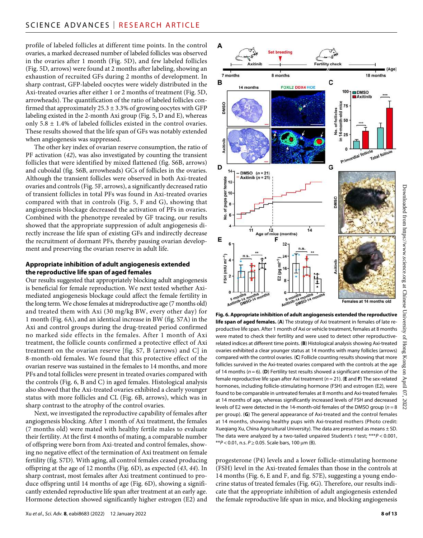# SCIENCE ADVANCES | RESEARCH ARTICLE

A

в

OSSMC

7 months

Axitinih

14 months

8 months

**FOXL2 DDX4 HOE** 

profile of labeled follicles at different time points. In the control ovaries, a marked decreased number of labeled follicles was observed in the ovaries after 1 month (Fig. 5D), and few labeled follicles (Fig. 5D, arrows) were found at 2 months after labeling, showing an exhaustion of recruited GFs during 2 months of development. In sharp contrast, GFP-labeled oocytes were widely distributed in the Axi-treated ovaries after either 1 or 2 months of treatment (Fig. 5D, arrowheads). The quantification of the ratio of labeled follicles confirmed that approximately  $25.3 \pm 3.3\%$  of growing oocytes with GFP labeling existed in the 2-month Axi group (Fig. 5, D and E), whereas only  $5.8 \pm 1.4\%$  of labeled follicles existed in the control ovaries. These results showed that the life span of GFs was notably extended when angiogenesis was suppressed.

The other key index of ovarian reserve consumption, the ratio of PF activation (*42*), was also investigated by counting the transient follicles that were identified by mixed flattened (fig. S6B, arrows) and cuboidal (fig. S6B, arrowheads) GCs of follicles in the ovaries. Although the transient follicles were observed in both Axi-treated ovaries and controls (Fig. 5F, arrows), a significantly decreased ratio of transient follicles in total PFs was found in Axi-treated ovaries compared with that in controls (Fig. 5, F and G), showing that angiogenesis blockage decreased the activation of PFs in ovaries. Combined with the phenotype revealed by GF tracing, our results showed that the appropriate suppression of adult angiogenesis directly increase the life span of existing GFs and indirectly decrease the recruitment of dormant PFs, thereby pausing ovarian development and preserving the ovarian reserve in adult life.

#### **Appropriate inhibition of adult angiogenesis extended the reproductive life span of aged females**

Our results suggested that appropriately blocking adult angiogenesis is beneficial for female reproduction. We next tested whether Aximediated angiogenesis blockage could affect the female fertility in the long term. We chose females at midreproductive age (7 months old) and treated them with Axi (30 mg/kg BW, every other day) for 1 month (Fig. 6A), and an identical increase in BW (fig. S7A) in the Axi and control groups during the drug-treated period confirmed no marked side effects in the females. After 1 month of Axi treatment, the follicle counts confirmed a protective effect of Axi treatment on the ovarian reserve [fig. S7, B (arrows) and C] in 8-month-old females. We found that this protective effect of the ovarian reserve was sustained in the females to 14 months, and more PFs and total follicles were present in treated ovaries compared with the controls (Fig. 6, B and C) in aged females. Histological analysis also showed that the Axi-treated ovaries exhibited a clearly younger status with more follicles and CL (Fig. 6B, arrows), which was in sharp contrast to the atrophy of the control ovaries.

Next, we investigated the reproductive capability of females after angiogenesis blocking. After 1 month of Axi treatment, the females (7 months old) were mated with healthy fertile males to evaluate their fertility. At the first 4 months of mating, a comparable number of offspring were born from Axi-treated and control females, showing no negative effect of the termination of Axi treatment on female fertility (fig. S7D). With aging, all control females ceased producing offspring at the age of 12 months (Fig. 6D), as expected (*43*, *44*). In sharp contrast, most females after Axi treatment continued to produce offspring until 14 months of age (Fig. 6D), showing a significantly extended reproductive life span after treatment at an early age. Hormone detection showed significantly higher estrogen (E2) and



Fertility check

C

100

mice 75  $DMSO$ **B**Axitinib

**Fig. 6. Appropriate inhibition of adult angiogenesis extended the reproductive life span of aged females.** (**A**) The strategy of Axi treatment in females of late reproductive life span. After 1 month of Axi or vehicle treatment, females at 8 months were mated to check their fertility and were used to detect other reproductiverelated indices at different time points. (**B**) Histological analysis showing Axi-treated ovaries exhibited a clear younger status at 14 months with many follicles (arrows) compared with the control ovaries. (**C**) Follicle counting results showing that more follicles survived in the Axi-treated ovaries compared with the controls at the age of 14 months (*n* = 6). (**D**) Fertility test results showed a significant extension of the female reproductive life span after Axi treatment (*n* = 21). (**E** and **F**) The sex-related hormones, including follicle-stimulating hormone (FSH) and estrogen (E2), were found to be comparable in untreated females at 8 months and Axi-treated females at 14 months of age, whereas significantly increased levels of FSH and decreased levels of E2 were detected in the 14-month-old females of the DMSO group (*n* = 8 per group). (**G**) The general appearance of Axi-treated and the control females at 14 months, showing healthy pups with Axi-treated mothers (Photo credit: Xueqiang Xu, China Agricultural University). The data are presented as means  $\pm$  SD. The data were analyzed by a two-tailed unpaired Student's *t* test; \*\*\**P* < 0.001,  $*P < 0.01$ , n.s.  $P \ge 0.05$ . Scale bars, 100  $\mu$ m (B).

progesterone (P4) levels and a lower follicle-stimulating hormone (FSH) level in the Axi-treated females than those in the controls at 14 months (Fig. 6, E and F, and fig. S7E), suggesting a young endocrine status of treated females (Fig. 6G). Therefore, our results indicate that the appropriate inhibition of adult angiogenesis extended the female reproductive life span in mice, and blocking angiogenesis

Downloaded from https://www.science.org at Chinese University of Hong Kong on April 07, 2022

University

 $\Omega$  $_{\rm{S}}$  Hong g Kong  $\mathbf{u}$ April  $\overline{c}$ 2022

Downloaded from https://www.science.org at Chinese

(Age)

18 months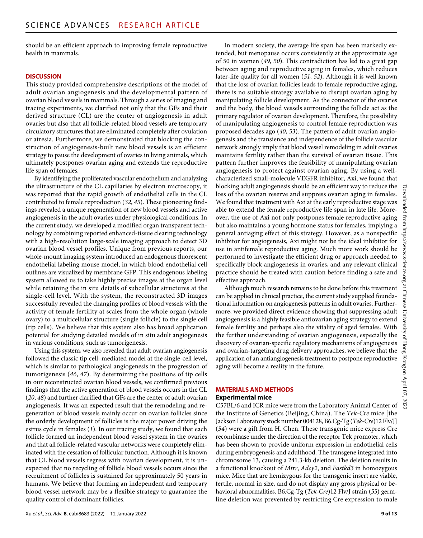should be an efficient approach to improving female reproductive health in mammals.

#### **DISCUSSION**

This study provided comprehensive descriptions of the model of adult ovarian angiogenesis and the developmental pattern of ovarian blood vessels in mammals. Through a series of imaging and tracing experiments, we clarified not only that the GFs and their derived structure (CL) are the center of angiogenesis in adult ovaries but also that all follicle-related blood vessels are temporary circulatory structures that are eliminated completely after ovulation or atresia. Furthermore, we demonstrated that blocking the construction of angiogenesis-built new blood vessels is an efficient strategy to pause the development of ovaries in living animals, which ultimately postpones ovarian aging and extends the reproductive life span of females.

By identifying the proliferated vascular endothelium and analyzing the ultrastructure of the CL capillaries by electron microscopy, it was reported that the rapid growth of endothelial cells in the CL contributed to female reproduction (*32*, *45*). These pioneering findings revealed a unique regeneration of new blood vessels and active angiogenesis in the adult ovaries under physiological conditions. In the current study, we developed a modified organ transparent technology by combining reported enhanced-tissue clearing technology with a high-resolution large-scale imaging approach to detect 3D ovarian blood vessel profiles. Unique from previous reports, our whole-mount imaging system introduced an endogenous fluorescent endothelial labeling mouse model, in which blood endothelial cell outlines are visualized by membrane GFP. This endogenous labeling system allowed us to take highly precise images at the organ level while retaining the in situ details of subcellular structures at the single-cell level. With the system, the reconstructed 3D images successfully revealed the changing profiles of blood vessels with the activity of female fertility at scales from the whole organ (whole ovary) to a multicellular structure (single follicle) to the single cell (tip cells). We believe that this system also has broad application potential for studying detailed models of in situ adult angiogenesis in various conditions, such as tumorigenesis.

Using this system, we also revealed that adult ovarian angiogenesis followed the classic tip cell–mediated model at the single-cell level, which is similar to pathological angiogenesis in the progression of tumorigenesis (*46*, *47*). By determining the positions of tip cells in our reconstructed ovarian blood vessels, we confirmed previous findings that the active generation of blood vessels occurs in the CL (*20*, *48*) and further clarified that GFs are the center of adult ovarian angiogenesis. It was an expected result that the remodeling and regeneration of blood vessels mainly occur on ovarian follicles since the orderly development of follicles is the major power driving the estrus cycle in females (*1*). In our tracing study, we found that each follicle formed an independent blood vessel system in the ovaries and that all follicle-related vascular networks were completely eliminated with the cessation of follicular function. Although it is known that CL blood vessels regress with ovarian development, it is unexpected that no recycling of follicle blood vessels occurs since the recruitment of follicles is sustained for approximately 50 years in humans. We believe that forming an independent and temporary blood vessel network may be a flexible strategy to guarantee the quality control of dominant follicles.

In modern society, the average life span has been markedly extended, but menopause occurs consistently at the approximate age of 50 in women (*49*, *50*). This contradiction has led to a great gap between aging and reproductive aging in females, which reduces later-life quality for all women (*51*, *52*). Although it is well known that the loss of ovarian follicles leads to female reproductive aging, there is no suitable strategy available to disrupt ovarian aging by manipulating follicle development. As the connector of the ovaries and the body, the blood vessels surrounding the follicle act as the primary regulator of ovarian development. Therefore, the possibility of manipulating angiogenesis to control female reproduction was proposed decades ago (*40*, *53*). The pattern of adult ovarian angiogenesis and the transience and independence of the follicle vascular network strongly imply that blood vessel remodeling in adult ovaries maintains fertility rather than the survival of ovarian tissue. This pattern further improves the feasibility of manipulating ovarian angiogenesis to protect against ovarian aging. By using a wellcharacterized small-molecule VEGFR inhibitor, Axi, we found that blocking adult angiogenesis should be an efficient way to reduce the loss of the ovarian reserve and suppress ovarian aging in females. We found that treatment with Axi at the early reproductive stage was able to extend the female reproductive life span in late life. Moreover, the use of Axi not only postpones female reproductive aging but also maintains a young hormone status for females, implying a general antiaging effect of this strategy. However, as a nonspecific inhibitor for angiogenesis, Axi might not be the ideal inhibitor for use in antifemale reproductive aging. Much more work should be performed to investigate the efficient drug or approach needed to specifically block angiogenesis in ovaries, and any relevant clinical practice should be treated with caution before finding a safe and effective approach.

Although much research remains to be done before this treatment can be applied in clinical practice, the current study supplied foundational information on angiogenesis patterns in adult ovaries. Furthermore, we provided direct evidence showing that suppressing adult angiogenesis is a highly feasible antiovarian aging strategy to extend female fertility and perhaps also the vitality of aged females. With the further understanding of ovarian angiogenesis, especially the discovery of ovarian-specific regulatory mechanisms of angiogenesis and ovarian-targeting drug delivery approaches, we believe that the application of an antiangiogenesis treatment to postpone reproductive aging will become a reality in the future.

#### **MATERIALS AND METHODS**

#### **Experimental mice**

C57BL/6 and ICR mice were from the Laboratory Animal Center of the Institute of Genetics (Beijing, China). The *Tek-Cre* mice [the Jackson Laboratory stock number 004128, B6.Cg-Tg (*Tek-Cre*)12 Flv/J] (*54*) were a gift from H. Chen. These transgenic mice express Cre recombinase under the direction of the receptor Tek promoter, which has been shown to provide uniform expression in endothelial cells during embryogenesis and adulthood. The transgene integrated into chromosome 13, causing a 241.3-kb deletion. The deletion results in a functional knockout of *Mtrr*, *Adcy2*, and *Fastkd3* in homozygous mice. Mice that are hemizygous for the transgenic insert are viable, fertile, normal in size, and do not display any gross physical or behavioral abnormalities. B6.Cg-Tg (*Tek-Cre*)12 Flv/J strain (*55*) germline deletion was prevented by restricting Cre expression to male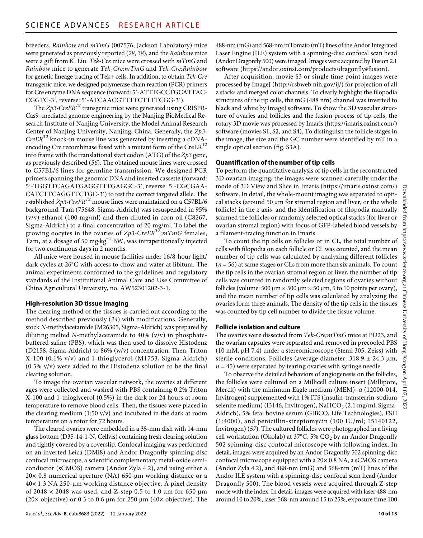breeders. *Rainbow* and *mTmG* (007576, Jackson Laboratory) mice were generated as previously reported (*28*, *38*), and the *Rainbow* mice were a gift from K. Liu. *Tek-Cre* mice were crossed with *mTmG* and *Rainbow* mice to generate *Tek-Cre;mTmG* and *Tek-Cre;Rainbow* for genetic lineage tracing of Tek+ cells. In addition, to obtain *Tek-Cre* transgenic mice, we designed polymerase chain reaction (PCR) primers for Cre enzyme DNA sequence (forward: 5′-ATTTGCCTGCATTAC-CGGTC-3′, reverse: 5′-ATCAACGTTTTCTTTTCGG-3′).

The *Zp3-CreER<sup>T2</sup>* transgenic mice were generated using CRISPR-Cas9–mediated genome engineering by the Nanjing BioMedical Research Institute of Nanjing University, the Model Animal Research Center of Nanjing University, Nanjing, China. Generally, the *Zp3- CreERT2* knock-in mouse line was generated by inserting a cDNAencoding Cre recombinase fused with a mutant form of the CreER<sup>T2</sup> into frame with the translational start codon (ATG) of the *Zp3* gene, as previously described (*56*). The obtained mouse lines were crossed to C57BL/6 lines for germline transmission. We designed PCR primers spanning the genomic DNA and inserted cassette (forward: 5′-TGGTTCAGATGAGGTTTGAGGC-3′, reverse: 5′-CGCGAA-CATCTTCAGGTTCTGC-3′) to test the correct targeted allele. The established  $Zp3-CreER$ <sup>12</sup> mouse lines were maintained on a C57BL/6 background. Tam (75648, Sigma-Aldrich) was resuspended in 95% (v/v) ethanol (100 mg/ml) and then diluted in corn oil (C8267, Sigma-Aldrich) to a final concentration of 20 mg/ml. To label the growing oocytes in the ovaries of *Zp3-CreERT2;mTmG* females, Tam, at a dosage of 50 mg·kg−1 BW, was intraperitoneally injected for two continuous days in 2 months.

All mice were housed in mouse facilities under 16/8-hour light/ dark cycles at 26°C with access to chow and water at libitum. The animal experiments conformed to the guidelines and regulatory standards of the Institutional Animal Care and Use Committee of China Agricultural University, no. AW52301202-3-1.

#### **High-resolution 3D tissue imaging**

The clearing method of the tissues is carried out according to the method described previously (*24*) with modifications. Generally, stock *N*-methylacetamide (M26305, Sigma-Aldrich) was prepared by diluting melted *N*-methylacetamide to 40% (v/v) in phosphatebuffered saline (PBS), which was then used to dissolve Histodenz (D2158, Sigma-Aldrich) to 86% (w/v) concentration. Then, Triton X-100 (0.1% v/v) and 1-thioglycerol (M1753, Sigma-Aldrich) (0.5% v/v) were added to the Histodenz solution to be the final clearing solution.

To image the ovarian vascular network, the ovaries at different ages were collected and washed with PBS containing 0.2% Triton X-100 and 1-thioglycerol (0.5%) in the dark for 24 hours at room temperature to remove blood cells. Then, the tissues were placed in the clearing medium (1:50 v/v) and incubated in the dark at room temperature on a rotor for 72 hours.

The cleared ovaries were embedded in a 35-mm dish with 14-mm glass bottom (D35-14-1-N, Cellvis) containing fresh clearing solution and tightly covered by a coverslip. Confocal imaging was performed on an inverted Leica (DMi8) and Andor Dragonfly spinning-disc confocal microscope, a scientific complementary metal-oxide semiconductor (sCMOS) camera (Andor Zyla 4.2), and using either a  $20\times 0.8$  numerical aperture (NA) 650-µm working distance or a  $40\times$  1.3 NA 250-µm working distance objective. A pixel density of 2048  $\times$  2048 was used, and Z-step 0.5 to 1.0 µm for 650 µm (20 $\times$  objective) or 0.3 to 0.6  $\mu$ m for 250  $\mu$ m (40 $\times$  objective). The 488-nm (mG) and 568-nm mTomato (mT) lines of the Andor Integrated Laser Engine (ILE) system with a spinning-disc confocal scan head (Andor Dragonfly 500) were imaged. Images were acquired by Fusion 2.1 software (<https://andor.oxinst.com/products/dragonfly#fusion>).

After acquisition, movie S3 or single time point images were processed by ImageJ (<http://rsbweb.nih.gov/ij/>) for projection of all z stacks and merged color channels. To clearly highlight the filopodia structures of the tip cells, the mG (488 nm) channel was inverted to black and white by ImageJ software. To show the 3D vascular structure of ovaries and follicles and the fusion process of tip cells, the rotary 3D movie was processed by Imaris [\(https://imaris.oxinst.com/\)](https://imaris.oxinst.com/) software (movies S1, S2, and S4). To distinguish the follicle stages in the image, the size and the GC number were identified by mT in a single optical section (fig. S3A).

#### **Quantification ofthe number oftip cells**

To perform the quantitative analysis of tip cells in the reconstructed 3D ovarian imaging, the images were scanned carefully under the mode of 3D View and Slice in Imaris ([https://imaris.oxinst.com/\)](https://imaris.oxinst.com/) software. In detail, the whole-mount imaging was separated to optical stacks (around 50  $\mu$ m for stromal region and liver, or the whole follicle) in the *z* axis, and the identification of filopodia manually scanned the follicles or randomly selected optical stacks (for liver or ovarian stromal region) with focus of GFP-labeled blood vessels by a filament-tracing function in Imaris.

To count the tip cells on follicles or in CL, the total number of cells with filopodia on each follicle or CL was counted, and the mean number of tip cells was calculated by analyzing different follicles (*n* = 56) at same stages or CLs from more than six animals. To count the tip cells in the ovarian stromal region or liver, the number of tip cells was counted in randomly selected regions of ovaries without follicles (volume: 500  $\mu$ m  $\times$  500  $\mu$ m  $\times$  50  $\mu$ m, 5 to 10 points per ovary), and the mean number of tip cells was calculated by analyzing the ovaries form three animals. The density of the tip cells in the tissues was counted by tip cell number to divide the tissue volume.

#### **Follicle isolation and culture**

The ovaries were dissected from *Tek-Cre;mTmG* mice at PD23, and the ovarian capsules were separated and removed in precooled PBS (10 mM, pH 7.4) under a stereomicroscope (Stemi 305, Zeiss) with sterile conditions. Follicles (average diameter:  $318.9 \pm 24.3 \text{ µm}$ ,  $n = 45$ ) were separated by tearing ovaries with syringe needle.

To observe the detailed behaviors of angiogenesis on the follicles, the follicles were cultured on a Millicell culture insert (Millipore, Merck) with the minimum Eagle medium (MEM) $-\alpha$  (12000-014, Invitrogen) supplemented with 1% ITS (insulin-transferrin-sodium selenite medium) (I3146, Invitrogen), NaHCO<sub>3</sub> (2.1 mg/ml; Sigma-Aldrich), 5% fetal bovine serum (GIBCO, Life Technologies), FSH (1:4000), and penicillin-streptomycin (100 IU/ml; 15140122, Invitrogen) (*57*). The cultured follicles were photographed in a living cell workstation (Okolab) at  $37^{\circ}$ C, 5% CO<sub>2</sub> by an Andor Dragonfly 502 spinning-disc confocal microscope with following index. In detail, images were acquired by an Andor Dragonfly 502 spinning-disc confocal microscope equipped with a 20× 0.8 NA, a sCMOS camera (Andor Zyla 4.2), and 488-nm (mG) and 568-nm (mT) lines of the Andor ILE system with a spinning-disc confocal scan head (Andor Dragonfly 500). The blood vessels were acquired through Z-step mode with the index. In detail, images were acquired with laser 488-nm around 10 to 20%, laser 568-nm around 15 to 25%, exposure time 100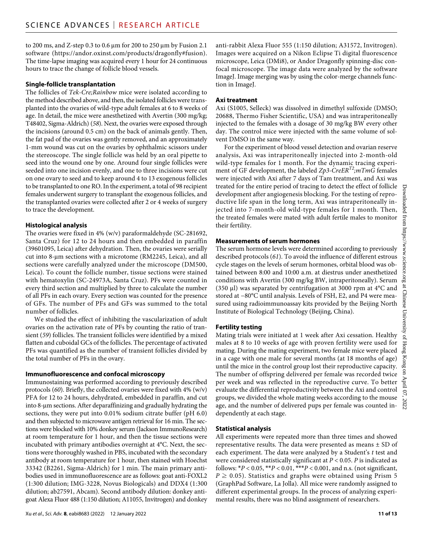to 200 ms, and Z-step 0.3 to 0.6  $\mu$ m for 200 to 250  $\mu$ m by Fusion 2.1 software [\(https://andor.oxinst.com/products/dragonfly#fusion](https://andor.oxinst.com/products/dragonfly#fusion)). The time-lapse imaging was acquired every 1 hour for 24 continuous hours to trace the change of follicle blood vessels.

#### **Single-follicle transplantation**

The follicles of *Tek-Cre;Rainbow* mice were isolated according to the method described above, and then, the isolated follicles were transplanted into the ovaries of wild-type adult females at 6 to 8 weeks of age. In detail, the mice were anesthetized with Avertin (300 mg/kg; T48402, Sigma-Aldrich) (*58*). Next, the ovaries were exposed through the incisions (around 0.5 cm) on the back of animals gently. Then, the fat pad of the ovaries was gently removed, and an approximately 1-mm wound was cut on the ovaries by ophthalmic scissors under the stereoscope. The single follicle was held by an oral pipette to seed into the wound one by one. Around four single follicles were seeded into one incision evenly, and one to three incisions were cut on one ovary to seed and to keep around 4 to 13 exogenous follicles to be transplanted to one RO. In the experiment, a total of 98 recipient females underwent surgery to transplant the exogenous follicles, and the transplanted ovaries were collected after 2 or 4 weeks of surgery to trace the development.

#### **Histological analysis**

The ovaries were fixed in 4% (w/v) paraformaldehyde (SC-281692, Santa Cruz) for 12 to 24 hours and then embedded in paraffin (39601095, Leica) after dehydration. Then, the ovaries were serially cut into 8-µm sections with a microtome (RM2245, Leica), and all sections were carefully analyzed under the microscope (DM500, Leica). To count the follicle number, tissue sections were stained with hematoxylin (SC-24973A, Santa Cruz). PFs were counted in every third section and multiplied by three to calculate the number of all PFs in each ovary. Every section was counted for the presence of GFs. The number of PFs and GFs was summed to the total number of follicles.

We studied the effect of inhibiting the vascularization of adult ovaries on the activation rate of PFs by counting the ratio of transient (*59*) follicles. The transient follicles were identified by a mixed flatten and cuboidal GCs of the follicles. The percentage of activated PFs was quantified as the number of transient follicles divided by the total number of PFs in the ovary.

#### **Immunofluorescence and confocal microscopy**

Immunostaining was performed according to previously described protocols (*60*). Briefly, the collected ovaries were fixed with 4% (w/v) PFA for 12 to 24 hours, dehydrated, embedded in paraffin, and cut into 8-µm sections. After deparaffinizing and gradually hydrating the sections, they were put into 0.01% sodium citrate buffer (pH 6.0) and then subjected to microwave antigen retrieval for 16 min. The sections were blocked with 10% donkey serum (Jackson ImmunoResearch) at room temperature for 1 hour, and then the tissue sections were incubated with primary antibodies overnight at 4°C. Next, the sections were thoroughly washed in PBS, incubated with the secondary antibody at room temperature for 1 hour, then stained with Hoechst 33342 (B2261, Sigma-Aldrich) for 1 min. The main primary antibodies used in immunofluorescence are as follows: goat anti-FOXL2 (1:300 dilution; IMG-3228, Novus Biologicals) and DDX4 (1:300 dilution; ab27591, Abcam). Second antibody dilution: donkey antigoat Alexa Fluor 488 (1:150 dilution; A11055, Invitrogen) and donkey

anti-rabbit Alexa Fluor 555 (1:150 dilution; A31572, Invitrogen). Images were acquired on a Nikon Eclipse Ti digital fluorescence microscope, Leica (DMi8), or Andor Dragonfly spinning-disc confocal microscope. The image data were analyzed by the software ImageJ. Image merging was by using the color-merge channels function in ImageJ.

#### **Axi treatment**

Axi (S1005, Selleck) was dissolved in dimethyl sulfoxide (DMSO; 20688, Thermo Fisher Scientific, USA) and was intraperitoneally injected to the females with a dosage of 30 mg/kg BW every other day. The control mice were injected with the same volume of solvent DMSO in the same way.

For the experiment of blood vessel detection and ovarian reserve analysis, Axi was intraperitoneally injected into 2-month-old wild-type females for 1 month. For the dynamic tracing experiment of GF development, the labeled *Zp3-CreERT2;mTmG* females were injected with Axi after 7 days of Tam treatment, and Axi was treated for the entire period of tracing to detect the effect of follicle development after angiogenesis blocking. For the testing of reproductive life span in the long term, Axi was intraperitoneally injected into 7-month-old wild-type females for 1 month. Then, the treated females were mated with adult fertile males to monitor their fertility.

#### **Measurements of serum hormones**

The serum hormone levels were determined according to previously described protocols (*61*). To avoid the influence of different estrous cycle stages on the levels of serum hormones, orbital blood was obtained between 8:00 and 10:00 a.m. at diestrus under anesthetized conditions with Avertin (300 mg/kg BW, intraperitoneally). Serum (350  $\mu$ I) was separated by centrifugation at 3000 rpm at 4 $\rm{°C}$  and stored at −80°C until analysis. Levels of FSH, E2, and P4 were measured using radioimmunoassay kits provided by the Beijing North Institute of Biological Technology (Beijing, China).

## **Fertility testing**

Mating trials were initiated at 1 week after Axi cessation. Healthy males at 8 to 10 weeks of age with proven fertility were used for mating. During the mating experiment, two female mice were placed in a cage with one male for several months (at 18 months of age) until the mice in the control group lost their reproductive capacity. The number of offspring delivered per female was recorded twice per week and was reflected in the reproductive curve. To better evaluate the differential reproductivity between the Axi and control groups, we divided the whole mating weeks according to the mouse age, and the number of delivered pups per female was counted independently at each stage.

#### **Statistical analysis**

All experiments were repeated more than three times and showed representative results. The data were presented as means  $\pm$  SD of each experiment. The data were analyzed by a Student's *t* test and were considered statistically significant at *P* < 0.05. *P* is indicated as follows: \**P* < 0.05, \*\**P* < 0.01, \*\*\**P* < 0.001, and n.s. (not significant,  $P \geq 0.05$ ). Statistics and graphs were obtained using Prism 5 (GraphPad Software, La Jolla). All mice were randomly assigned to different experimental groups. In the process of analyzing experimental results, there was no blind assignment of researchers.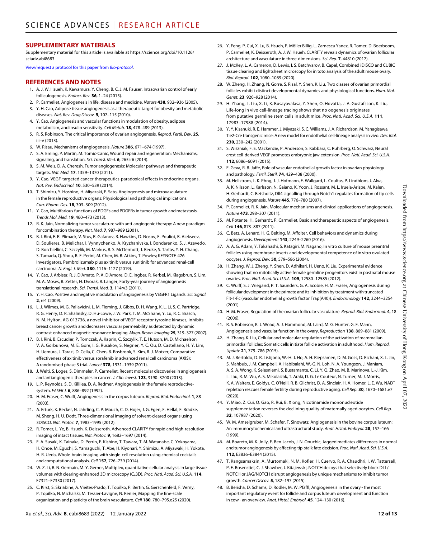#### **SUPPLEMENTARY MATERIALS**

Supplementary material for this article is available at [https://science.org/doi/10.1126/](https://science.org/doi/10.1126/sciadv.abi8683) [sciadv.abi8683](https://science.org/doi/10.1126/sciadv.abi8683)

[View/request a protocol for this paper from](https://en.bio-protocol.org/cjrap.aspx?eid=10.1126/sciadv.abi8683) *Bio-protocol*.

#### **REFERENCES AND NOTES**

- 1. A. J. W. Hsueh, K. Kawamura, Y. Cheng, B. C. J. M. Fauser, Intraovarian control of early folliculogenesis. *Endocr. Rev.* **36**, 1–24 (2015).
- 2. P. Carmeliet, Angiogenesis in life, disease and medicine. *Nature* **438**, 932–936 (2005).
- 3. Y. H. Cao, Adipose tissue angiogenesis as a therapeutic target for obesity and metabolic diseases. *Nat. Rev. Drug Discov.* **9**, 107–115 (2010).
- 4. Y. Cao, Angiogenesis and vascular functions in modulation of obesity, adipose metabolism, and insulin sensitivity. *Cell Metab.* **18**, 478–489 (2013).
- 5. R. S. Robinson, The critical importance of ovarian angiogenesis. *Reprod. Fertil. Dev.* **25**, iii–v (2013).
- 6. W. Risau, Mechanisms of angiogenesis. *Nature* **386**, 671–674 (1997).
- 7. S. A. Eming, P. Martin, M. Tomic-Canic, Wound repair and regeneration: Mechanisms, signaling, and translation. *Sci. Transl. Med.* **6**, 265sr6 (2014).
- 8. S. M. Weis, D. A. Cheresh, Tumor angiogenesis: Molecular pathways and therapeutic targets. *Nat. Med.* **17**, 1359–1370 (2011).
- 9. Y. Cao, VEGF-targeted cancer therapeutics-paradoxical effects in endocrine organs. *Nat. Rev. Endocrinol.* **10**, 530–539 (2014).
- 10. T. Shimizu, Y. Hoshino, H. Miyazaki, E. Sato, Angiogenesis and microvasculature in the female reproductive organs: Physiological and pathological implications. *Curr. Pharm. Des.* **18**, 303–309 (2012).
- 11. Y. Cao, Multifarious functions of PDGFs and PDGFRs in tumor growth and metastasis. *Trends Mol. Med.* **19**, 460–473 (2013).
- 12. R. K. Jain, Normalizing tumor vasculature with anti-angiogenic therapy: A new paradigm for combination therapy. *Nat. Med.* **7**, 987–989 (2001).
- 13. B. I. Rini, E. R. Plimack, V. Stus, R. Gafanov, R. Hawkins, D. Nosov, F. Pouliot, B. Alekseev, D. Soulieres, B. Melichar, I. Vynnychenko, A. Kryzhanivska, I. Bondarenko, S. J. Azevedo, D. Borchiellini, C. Szczylik, M. Markus, R. S. McDermott, J. Bedke, S. Tartas, Y. H. Chang, S. Tamada, Q. Shou, R. F. Perini, M. Chen, M. B. Atkins, T. Powles; KEYNOTE-426 Investigators, Pembrolizumab plus axitinib versus sunitinib for advanced renal-cell carcinoma. *N. Engl. J. Med.* **380**, 1116–1127 (2019).
- 14. Y. Cao, J. Arbiser, R. J. D'Amato, P. A. D'Amore, D. E. Ingber, R. Kerbel, M. Klagsbrun, S. Lim, M. A. Moses, B. Zetter, H. Dvorak, R. Langer, Forty-year journey of angiogenesis translational research. *Sci. Transl. Med.* **3**, 114rv3 (2011).
- 15. Y. H. Cao, Positive and negative modulation of angiogenesis by VEGFR1 Ligands. *Sci. Signal.* **2**, re1 (2009).
- 16. L. J. Wilmes, M. G. Pallavicini, L. M. Fleming, J. Gibbs, D. H. Wang, K. L. Li, S. C. Partridge, R. G. Henry, D. R. Shalinsky, D. Hu-Lowe, J. W. Park, T. M. McShane, Y. Lu, R. C. Brasch, N. M. Hylton, AG-013736, a novel inhibitor of VEGF receptor tyrosine kinases, inhibits breast cancer growth and decreases vascular permeability as detected by dynamic contrast-enhanced magnetic resonance imaging. *Magn. Reson. Imaging* **25**, 319–327 (2007).
- 17. B. I. Rini, B. Escudier, P. Tomczak, A. Kaprin, C. Szczylik, T. E. Hutson, M. D. Michaelson, V. A. Gorbunova, M. E. Gore, I. G. Rusakov, S. Negrier, Y. C. Ou, D. Castellano, H. Y. Lim, H. Uemura, J. Tarazi, D. Cella, C. Chen, B. Rosbrook, S. Kim, R. J. Motzer, Comparative effectiveness of axitinib versus sorafenib in advanced renal cell carcinoma (AXIS): A randomised phase 3 trial. *Lancet* **378**, 1931–1939 (2011).
- 18. J. Welti, S. Loges, S. Dimmeler, P. Carmeliet, Recent molecular discoveries in angiogenesis and antiangiogenic therapies in cancer. *J. Clin. Invest.* **123**, 3190–3200 (2013).
- 19. L. P. Reynolds, S. D. Killilea, D. A. Redmer, Angiogenesis in the female reproductivesystem. *FASEB J.* **6**, 886–892 (1992).
- 20. H. M. Fraser, C. Wulff, Angiogenesis in the corpus luteum. *Reprod. Biol. Endocrinol.* **1**, 88 (2003).
- 21. A. Erturk, K. Becker, N. Jahrling, C. P. Mauch, C. D. Hojer, J. G. Egen, F. Hellal, F. Bradke, M. Sheng, H. U. Dodt, Three-dimensional imaging ofsolvent-cleared organs using 3DISCO. *Nat. Protoc.* **7**, 1983–1995 (2012).
- 22. R. Tomer, L. Ye, B. Hsueh, K. Deisseroth, Advanced CLARITY for rapid and high-resolution imaging of intact tissues. *Nat. Protoc.* **9**, 1682–1697 (2014).
- 23. E. A. Susaki, K. Tainaka, D. Perrin, F. Kishino, T. Tawara, T. M. Watanabe, C. Yokoyama, H. Onoe, M. Eguchi, S. Yamaguchi, T. Abe, H. Kiyonari, Y. Shimizu, A. Miyawaki, H. Yokota, H. R. Ueda, Whole-brain imaging with single-cell resolution using chemical cocktails and computational analysis. *Cell* **157**, 726–739 (2014).
- 24. W. Z. Li, R. N. Germain, M. Y. Gerner, Multiplex, quantitative cellular analysis in large tissue volumes with clearing-enhanced 3D microscopy (Ce3D). *Proc. Natl. Acad. Sci. U.S.A.* **114**, E7321–E7330 (2017).
- 25. C. Kirst, S. Skriabine, A. Vieites-Prado, T. Topilko, P. Bertin, G. Gerschenfeld, F. Verny, P. Topilko, N. Michalski, M. Tessier-Lavigne, N. Renier, Mapping the fine-scale organization and plasticity of the brain vasculature. *Cell* **180**, 780–795.e25 (2020).
- 26. Y. Feng, P. Cui, X. Lu, B. Hsueh, F. Möller Billig, L. Zarnescu Yanez, R. Tomer, D. Boerboom, P. Carmeliet, K. Deisseroth, A. J. W. Hsueh, CLARITY reveals dynamics of ovarian follicular architecture and vasculature in three-dimensions. *Sci. Rep.* **7**, 44810 (2017).
- 27. J. McKey, L. A. Cameron, D. Lewis, I. S. Batchvarov, B. Capel, Combined iDISCO and CUBIC tissue clearing and lightsheet microscopy for in toto analysis of the adult mouse ovary. *Biol. Reprod.* **102**, 1080–1089 (2020).
- 28. W. Zheng, H. Zhang, N. Gorre, S. Risal, Y. Shen, K. Liu, Two classes of ovarian primordial follicles exhibit distinct developmental dynamics and physiological functions. *Hum. Mol. Genet.* **23**, 920–928 (2014).
- 29. H. Zhang, L. Liu, X. Li, K. Busayavalasa, Y. Shen, O. Hovatta, J. A. Gustafsson, K. Liu, Life-long in vivo cell-lineage tracing shows that no oogenesis originates from putative germline stem cells in adult mice. *Proc. Natl. Acad. Sci. U.S.A.* **111**, 17983–17988 (2014).
- 30. Y. Y. Kisanuki, R. E. Hammer, J. Miyazaki, S. C. Williams, J. A. Richardson, M. Yanagisawa, Tie2-Cre transgenic mice: Anew model for endothelial cell-lineage analysis in vivo. *Dev. Biol.* **230**, 230–242 (2001).
- 31. S. Wiszniak, F. E. Mackenzie, P. Anderson, S. Kabbara, C. Ruhrberg, Q. Schwarz, Neural crest cell-derived VEGF promotes embryonic jaw extension. *Proc. Natl. Acad. Sci. U.S.A.* **112**, 6086–6091 (2015).
- 32. E. Geva, R. B. Jaffe, Role of vascular endothelial growth factor in ovarian physiology and pathology. *Fertil. Steril.* **74**, 429–438 (2000).
- 33. M. Hellstrom, L. K. Phng, J. J. Hofmann, E. Wallgard, L. Coultas, P. Lindblom, J. Alva, A. K. Nilsson, L. Karlsson, N. Gaiano, K. Yoon, J. Rossant, M. L. Iruela-Arispe, M. Kalen, H. Gerhardt, C. Betsholtz, Dll4 signalling through Notch1 regulates formation of tip cells during angiogenesis. *Nature* **445**, 776–780 (2007).
- 34. P. Carmeliet, R. K. Jain, Molecular mechanisms and clinical applications of angiogenesis. *Nature* **473**, 298–307 (2011).
- 35. M. Potente, H. Gerhardt, P. Carmeliet, Basic and therapeutic aspects of angiogenesis. *Cell* **146**, 873–887 (2011).
- 36. C. Betz, A. Lenard, H. G. Belting, M. Affolter, Cell behaviors and dynamics during angiogenesis. *Development* **143**, 2249–2260 (2016).
- 37. A. A. G. Adam, Y. Takahashi, S. Katagiri, M. Nagano, In vitro culture of mouse preantral follicles using membrane inserts and developmental competence of in vitro ovulated oocytes. *J. Reprod. Dev.* **50**, 579–586 (2004).
- 38. H. Zhang, W. J. Zheng, Y. Shen, D. Adhikari, H. Ueno, K. Liu, Experimental evidence showing that no mitotically active female germline progenitors exist in postnatal mouse ovaries. *Proc. Natl. Acad. Sci. U.S.A.* **109**, 12580–12585 (2012).
- 39. C. Wulff, S. J. Wiegand, P. T. Saunders, G. A. Scobie, H. M. Fraser, Angiogenesis during follicular development in the primate and its inhibition by treatment with truncated Flt-1-Fc (vascular endothelial growth factor Trap(A40)). *Endocrinology* **142**, 3244–3254 (2001).
- 40. H. M. Fraser, Regulation of the ovarian follicular vasculature. *Reprod. Biol. Endocrinol.* **4**, 18  $(2006)$
- 41. R. S. Robinson, K. J. Woad, A. J. Hammond, M. Laird, M. G. Hunter, G. E. Mann, Angiogenesis and vascular function in the ovary. *Reproduction* **138**, 869–881 (2009).
- 42. H. Zhang, K. Liu, Cellular and molecular regulation of the activation of mammalian primordial follicles: Somatic cells initiate follicle activation in adulthood. *Hum. Reprod. Update* **21**, 779–786 (2015).
- 43. M. J. Bertoldo, D. R. Listijono, W.-H. J. Ho, A. H. Riepsamen, D. M. Goss, D. Richani, X. L. Jin, S. Mahbub, J. M. Campbell, A. Habibalahi, W.-G. N. Loh, N. A. Youngson, J. Maniam, A. S. A. Wong, K. Selesniemi, S. Bustamante, C. Li, Y. Q. Zhao, M. B. Marinova, L.-J. Kim, L. Lau, R. M. Wu, A. S. Mikolaizak, T. Araki, D. G. Le Couteur, N. Turner, M. J. Morris, K. A. Walters, E. Goldys, C. O'Neill, R. B. Gilchrist, D. A. Sinclair, H. A. Homer, L. E. Wu, NAD<sup>+</sup> repletion rescues female fertility during reproductive aging. *Cell Rep.* **30**, 1670–1681.e7 (2020).
- 44. Y. Miao, Z. Cui, Q. Gao, R. Rui, B. Xiong, Nicotinamide mononucleotide supplementation reverses the declining quality of maternally aged oocytes. *Cell Rep.* **32**, 107987 (2020).
- 45. W. M. Amselgruber, M. Schafer, F. Sinowatz, Angiogenesis in the bovine corpus luteum: An immunocytochemical and ultrastructural study. *Anat. Histol. Embryol.* **28**, 157–166 (1999).
- 46. M. Boareto, M. K. Jolly, E. Ben-Jacob, J. N. Onuchic, Jagged mediates differences in normal and tumor angiogenesis by affecting tip-stalk fate decision. *Proc. Natl. Acad. Sci. U.S.A.* **112**, E3836–E3844 (2015).
- 47. T. Kangsamaksin, A. Murtomaki, N. M. Kofler, H. Cuervo, R. A. Chaudhri, I. W. Tattersall, P. E. Rosenstiel, C. J. Shawber, J. Kitajewski, NOTCH decoys that selectively block DLL/ NOTCH or JAG/NOTCH disrupt angiogenesis by unique mechanisms to inhibit tumor growth. *Cancer Discov.* **5**, 182–197 (2015).
- 48. B. Berisha, D. Schams, D. Rodler, M. W. Pfaffl, Angiogenesis in the ovary the most important regulatory event for follicle and corpus luteum development and function in cow - an overview. *Anat. Histol. Embryol.* **45**, 124–130 (2016).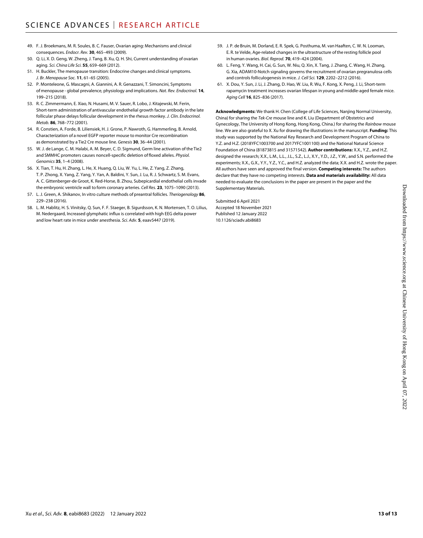- 49. F. J. Broekmans, M. R. Soules, B. C. Fauser, Ovarian aging: Mechanisms and clinical consequences. *Endocr. Rev.* **30**, 465–493 (2009).
- 50. Q. Li, X. D. Geng, W. Zheng, J. Tang, B. Xu, Q. H. Shi, Current understanding of ovarian aging. *Sci. China Life Sci.* **55**, 659–669 (2012).
- 51. H. Buckler, The menopause transition: Endocrine changes and clinical symptoms. *J. Br. Menopause Soc.* **11**, 61–65 (2005).
- 52. P. Monteleone, G. Mascagni, A. Giannini, A. R. Genazzani, T. Simoncini, Symptoms of menopause - global prevalence, physiology and implications. *Nat. Rev. Endocrinol.* **14**, 199–215 (2018).
- 53. R. C. Zimmermann, E. Xiao, N. Husami, M. V. Sauer, R. Lobo, J. Kitajewski, M. Ferin, Short-term administration of antivascular endothelial growth factor antibody in the late follicular phase delays follicular development in the rhesus monkey. *J. Clin. Endocrinol. Metab.* **86**, 768–772 (2001).
- 54. R. Constien, A. Forde, B. Liliensiek, H. J. Grone, P. Nawroth, G. Hammerling, B. Arnold, Characterization of a novel EGFP reporter mouse to monitor Cre recombination as demonstrated by a Tie2 Cre mouse line. *Genesis* **30**, 36–44 (2001).
- 55. W. J. de Lange, C. M. Halabi, A. M. Beyer, C. D. Sigmund, Germ line activation of the Tie2 and SMMHC promoters causes noncell-specific deletion of floxed alleles. *Physiol. Genomics* **35**, 1–4 (2008).
- 56. X. Tian, T. Hu, H. Zhang, L. He, X. Huang, Q. Liu, W. Yu, L. He, Z. Yang, Z. Zhang, T. P. Zhong, X. Yang, Z. Yang, Y. Yan, A. Baldini, Y. Sun, J. Lu, R. J. Schwartz, S. M. Evans, A. C. Gittenberger-de Groot, K. Red-Horse, B. Zhou, Subepicardial endothelial cells invade the embryonic ventricle wall to form coronary arteries. *Cell Res.* **23**, 1075–1090 (2013).
- 57. L. J. Green, A. Shikanov, In vitro culture methods of preantral follicles. *Theriogenology* **86**, 229–238 (2016).
- 58. L. M. Hablitz, H. S. Vinitsky, Q. Sun, F. F. Staeger, B. Sigurdsson, K. N. Mortensen, T. O. Lilius, M. Nedergaard, Increased glymphatic influx is correlated with high EEG delta power and low heart rate in mice under anesthesia. *Sci. Adv.* **5**, eaav5447 (2019).
- 59. J. P. de Bruin, M. Dorland, E. R. Spek, G. Posthuma, M. van Haaften, C. W. N. Looman, E. R. te Velde, Age-related changes in the ultrastructure of the resting follicle pool in human ovaries. *Biol. Reprod.* **70**, 419–424 (2004).
- 60. L. Feng, Y. Wang, H. Cai, G. Sun, W. Niu, Q. Xin, X. Tang, J. Zhang, C. Wang, H. Zhang, G. Xia, ADAM10-Notch signaling governs the recruitment of ovarian pregranulosa cells and controls folliculogenesis in mice. *J. Cell Sci.* **129**, 2202–2212 (2016).
- 61. X. Dou, Y. Sun, J. Li, J. Zhang, D. Hao, W. Liu, R. Wu, F. Kong, X. Peng, J. Li, Short-term rapamycin treatment increases ovarian lifespan in young and middle-aged female mice. *Aging Cell* **16**, 825–836 (2017).

**Acknowledgments:** We thank H. Chen (College of Life Sciences, Nanjing Normal University, China) for sharing the *Tek-Cre* mouse line and K. Liu (Department of Obstetrics and Gynecology, The University of Hong Kong, Hong Kong, China.) for sharing the *Rainbow* mouse line. We are also grateful to X. Xu for drawing the illustrations in the manuscript. **Funding:** This study was supported by the National Key Research and Development Program of China to Y.Z. and H.Z. (2018YFC1003700 and 2017YFC1001100) and the National Natural Science Foundation of China (81873815 and 31571542). **Author contributions:** X.X., Y.Z., and H.Z. designed the research; X.X., L.M., L.L., J.L., S.Z., L.J., X.Y., Y.D., J.Z., Y.W., and S.N. performed the experiments; X.X., G.X., Y.Y., Y.Z., Y.C., and H.Z. analyzed the data; X.X. and H.Z. wrote the paper. All authors have seen and approved the final version. **Competing interests:** The authors declare that they have no competing interests. **Data and materials availability:** All data needed to evaluate the conclusions in the paper are present in the paper and the Supplementary Materials.

Submitted 6 April 2021 Accepted 18 November 2021 Published 12 January 2022 10.1126/sciadv.abi8683